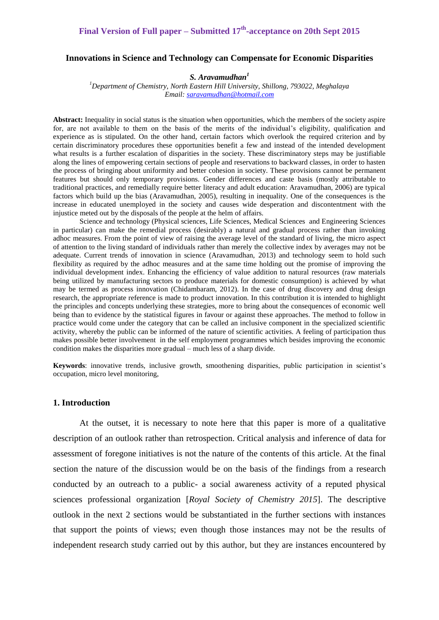# **Final Version of Full paper – Submitted 17th -acceptance on 20th Sept 2015**

#### **Innovations in Science and Technology can Compensate for Economic Disparities**

#### *S. Aravamudhan<sup>1</sup>*

*<sup>1</sup>Department of Chemistry, North Eastern Hill University, Shillong, 793022, Meghalaya Email: [saravamudhan@hotmail.com](mailto:saravamudhan@hotmail.com)*

**Abstract:** Inequality in social status is the situation when opportunities, which the members of the society aspire for, are not available to them on the basis of the merits of the individual's eligibility, qualification and experience as is stipulated. On the other hand, certain factors which overlook the required criterion and by certain discriminatory procedures these opportunities benefit a few and instead of the intended development what results is a further escalation of disparities in the society. These discriminatory steps may be justifiable along the lines of empowering certain sections of people and reservations to backward classes, in order to hasten the process of bringing about uniformity and better cohesion in society. These provisions cannot be permanent features but should only temporary provisions. Gender differences and caste basis (mostly attributable to traditional practices, and remedially require better literacy and adult education: Aravamudhan, 2006) are typical factors which build up the bias (Aravamudhan, 2005), resulting in inequality. One of the consequences is the increase in educated unemployed in the society and causes wide desperation and discontentment with the injustice meted out by the disposals of the people at the helm of affairs.

Science and technology (Physical sciences, Life Sciences, Medical Sciences and Engineering Sciences in particular) can make the remedial process (desirably) a natural and gradual process rather than invoking adhoc measures. From the point of view of raising the average level of the standard of living, the micro aspect of attention to the living standard of individuals rather than merely the collective index by averages may not be adequate. Current trends of innovation in science (Aravamudhan, 2013) and technology seem to hold such flexibility as required by the adhoc measures and at the same time holding out the promise of improving the individual development index. Enhancing the efficiency of value addition to natural resources (raw materials being utilized by manufacturing sectors to produce materials for domestic consumption) is achieved by what may be termed as process innovation (Chidambaram, 2012). In the case of drug discovery and drug design research, the appropriate reference is made to product innovation. In this contribution it is intended to highlight the principles and concepts underlying these strategies, more to bring about the consequences of economic well being than to evidence by the statistical figures in favour or against these approaches. The method to follow in practice would come under the category that can be called an inclusive component in the specialized scientific activity, whereby the public can be informed of the nature of scientific activities. A feeling of participation thus makes possible better involvement in the self employment programmes which besides improving the economic condition makes the disparities more gradual – much less of a sharp divide.

**Keywords**: innovative trends, inclusive growth, smoothening disparities, public participation in scientist's occupation, micro level monitoring,

## **1. Introduction**

At the outset, it is necessary to note here that this paper is more of a qualitative description of an outlook rather than retrospection. Critical analysis and inference of data for assessment of foregone initiatives is not the nature of the contents of this article. At the final section the nature of the discussion would be on the basis of the findings from a research conducted by an outreach to a public- a social awareness activity of a reputed physical sciences professional organization [*Royal Society of Chemistry 2015*]. The descriptive outlook in the next 2 sections would be substantiated in the further sections with instances that support the points of views; even though those instances may not be the results of independent research study carried out by this author, but they are instances encountered by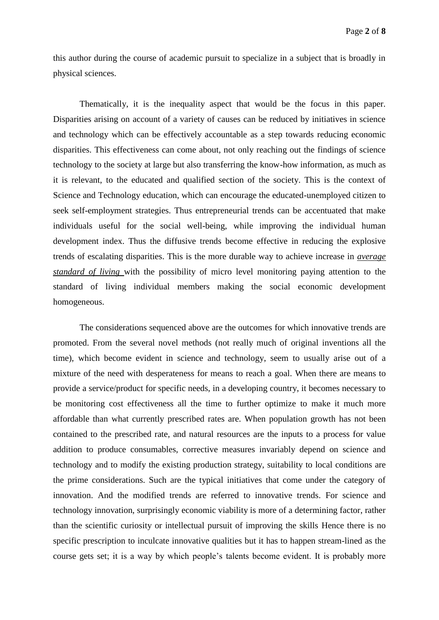this author during the course of academic pursuit to specialize in a subject that is broadly in physical sciences.

Thematically, it is the inequality aspect that would be the focus in this paper. Disparities arising on account of a variety of causes can be reduced by initiatives in science and technology which can be effectively accountable as a step towards reducing economic disparities. This effectiveness can come about, not only reaching out the findings of science technology to the society at large but also transferring the know-how information, as much as it is relevant, to the educated and qualified section of the society. This is the context of Science and Technology education, which can encourage the educated-unemployed citizen to seek self-employment strategies. Thus entrepreneurial trends can be accentuated that make individuals useful for the social well-being, while improving the individual human development index. Thus the diffusive trends become effective in reducing the explosive trends of escalating disparities. This is the more durable way to achieve increase in *average standard of living* with the possibility of micro level monitoring paying attention to the standard of living individual members making the social economic development homogeneous.

The considerations sequenced above are the outcomes for which innovative trends are promoted. From the several novel methods (not really much of original inventions all the time), which become evident in science and technology, seem to usually arise out of a mixture of the need with desperateness for means to reach a goal. When there are means to provide a service/product for specific needs, in a developing country, it becomes necessary to be monitoring cost effectiveness all the time to further optimize to make it much more affordable than what currently prescribed rates are. When population growth has not been contained to the prescribed rate, and natural resources are the inputs to a process for value addition to produce consumables, corrective measures invariably depend on science and technology and to modify the existing production strategy, suitability to local conditions are the prime considerations. Such are the typical initiatives that come under the category of innovation. And the modified trends are referred to innovative trends. For science and technology innovation, surprisingly economic viability is more of a determining factor, rather than the scientific curiosity or intellectual pursuit of improving the skills Hence there is no specific prescription to inculcate innovative qualities but it has to happen stream-lined as the course gets set; it is a way by which people's talents become evident. It is probably more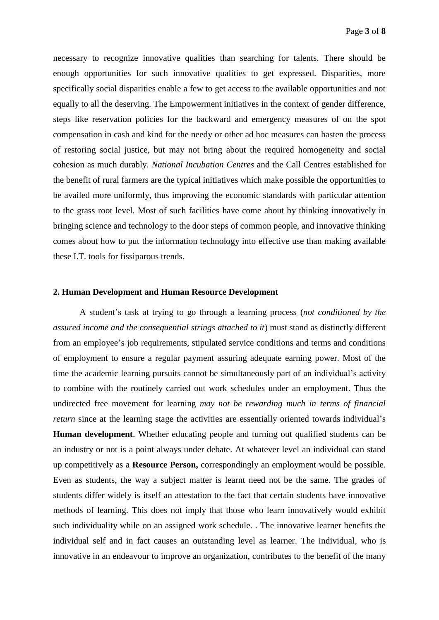necessary to recognize innovative qualities than searching for talents. There should be enough opportunities for such innovative qualities to get expressed. Disparities, more specifically social disparities enable a few to get access to the available opportunities and not equally to all the deserving. The Empowerment initiatives in the context of gender difference, steps like reservation policies for the backward and emergency measures of on the spot compensation in cash and kind for the needy or other ad hoc measures can hasten the process of restoring social justice, but may not bring about the required homogeneity and social cohesion as much durably. *National Incubation Centres* and the Call Centres established for the benefit of rural farmers are the typical initiatives which make possible the opportunities to be availed more uniformly, thus improving the economic standards with particular attention to the grass root level. Most of such facilities have come about by thinking innovatively in bringing science and technology to the door steps of common people, and innovative thinking comes about how to put the information technology into effective use than making available these I.T. tools for fissiparous trends.

#### **2. Human Development and Human Resource Development**

A student's task at trying to go through a learning process (*not conditioned by the assured income and the consequential strings attached to it*) must stand as distinctly different from an employee's job requirements, stipulated service conditions and terms and conditions of employment to ensure a regular payment assuring adequate earning power. Most of the time the academic learning pursuits cannot be simultaneously part of an individual's activity to combine with the routinely carried out work schedules under an employment. Thus the undirected free movement for learning *may not be rewarding much in terms of financial return* since at the learning stage the activities are essentially oriented towards individual's **Human development**. Whether educating people and turning out qualified students can be an industry or not is a point always under debate. At whatever level an individual can stand up competitively as a **Resource Person,** correspondingly an employment would be possible. Even as students, the way a subject matter is learnt need not be the same. The grades of students differ widely is itself an attestation to the fact that certain students have innovative methods of learning. This does not imply that those who learn innovatively would exhibit such individuality while on an assigned work schedule. . The innovative learner benefits the individual self and in fact causes an outstanding level as learner. The individual, who is innovative in an endeavour to improve an organization, contributes to the benefit of the many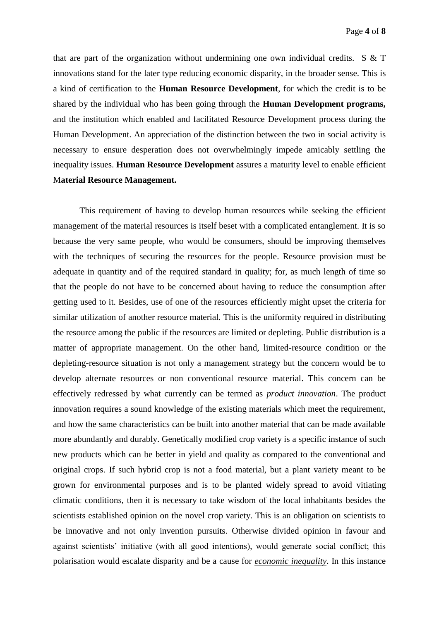that are part of the organization without undermining one own individual credits. S & T innovations stand for the later type reducing economic disparity, in the broader sense. This is a kind of certification to the **Human Resource Development**, for which the credit is to be shared by the individual who has been going through the **Human Development programs,** and the institution which enabled and facilitated Resource Development process during the Human Development. An appreciation of the distinction between the two in social activity is necessary to ensure desperation does not overwhelmingly impede amicably settling the inequality issues. **Human Resource Development** assures a maturity level to enable efficient M**aterial Resource Management.**

This requirement of having to develop human resources while seeking the efficient management of the material resources is itself beset with a complicated entanglement. It is so because the very same people, who would be consumers, should be improving themselves with the techniques of securing the resources for the people. Resource provision must be adequate in quantity and of the required standard in quality; for, as much length of time so that the people do not have to be concerned about having to reduce the consumption after getting used to it. Besides, use of one of the resources efficiently might upset the criteria for similar utilization of another resource material. This is the uniformity required in distributing the resource among the public if the resources are limited or depleting. Public distribution is a matter of appropriate management. On the other hand, limited-resource condition or the depleting-resource situation is not only a management strategy but the concern would be to develop alternate resources or non conventional resource material. This concern can be effectively redressed by what currently can be termed as *product innovation*. The product innovation requires a sound knowledge of the existing materials which meet the requirement, and how the same characteristics can be built into another material that can be made available more abundantly and durably. Genetically modified crop variety is a specific instance of such new products which can be better in yield and quality as compared to the conventional and original crops. If such hybrid crop is not a food material, but a plant variety meant to be grown for environmental purposes and is to be planted widely spread to avoid vitiating climatic conditions, then it is necessary to take wisdom of the local inhabitants besides the scientists established opinion on the novel crop variety. This is an obligation on scientists to be innovative and not only invention pursuits. Otherwise divided opinion in favour and against scientists' initiative (with all good intentions), would generate social conflict; this polarisation would escalate disparity and be a cause for *economic inequality*. In this instance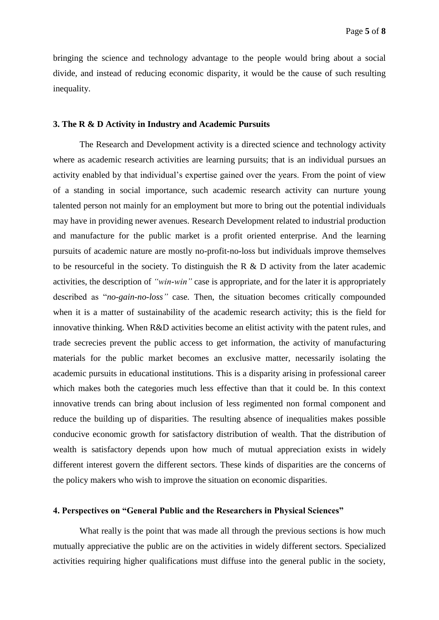bringing the science and technology advantage to the people would bring about a social divide, and instead of reducing economic disparity, it would be the cause of such resulting inequality.

### **3. The R & D Activity in Industry and Academic Pursuits**

The Research and Development activity is a directed science and technology activity where as academic research activities are learning pursuits; that is an individual pursues an activity enabled by that individual's expertise gained over the years. From the point of view of a standing in social importance, such academic research activity can nurture young talented person not mainly for an employment but more to bring out the potential individuals may have in providing newer avenues. Research Development related to industrial production and manufacture for the public market is a profit oriented enterprise. And the learning pursuits of academic nature are mostly no-profit-no-loss but individuals improve themselves to be resourceful in the society. To distinguish the R & D activity from the later academic activities, the description of *"win-win"* case is appropriate, and for the later it is appropriately described as "*no-gain-no-loss"* case*.* Then, the situation becomes critically compounded when it is a matter of sustainability of the academic research activity; this is the field for innovative thinking. When R&D activities become an elitist activity with the patent rules, and trade secrecies prevent the public access to get information, the activity of manufacturing materials for the public market becomes an exclusive matter, necessarily isolating the academic pursuits in educational institutions. This is a disparity arising in professional career which makes both the categories much less effective than that it could be. In this context innovative trends can bring about inclusion of less regimented non formal component and reduce the building up of disparities. The resulting absence of inequalities makes possible conducive economic growth for satisfactory distribution of wealth. That the distribution of wealth is satisfactory depends upon how much of mutual appreciation exists in widely different interest govern the different sectors. These kinds of disparities are the concerns of the policy makers who wish to improve the situation on economic disparities.

#### **4. Perspectives on "General Public and the Researchers in Physical Sciences"**

What really is the point that was made all through the previous sections is how much mutually appreciative the public are on the activities in widely different sectors. Specialized activities requiring higher qualifications must diffuse into the general public in the society,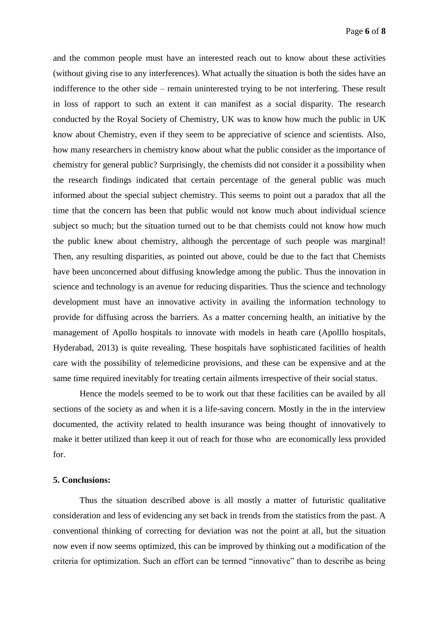and the common people must have an interested reach out to know about these activities (without giving rise to any interferences). What actually the situation is both the sides have an indifference to the other side – remain uninterested trying to be not interfering. These result in loss of rapport to such an extent it can manifest as a social disparity. The research conducted by the Royal Society of Chemistry, UK was to know how much the public in UK know about Chemistry, even if they seem to be appreciative of science and scientists. Also, how many researchers in chemistry know about what the public consider as the importance of chemistry for general public? Surprisingly, the chemists did not consider it a possibility when the research findings indicated that certain percentage of the general public was much informed about the special subject chemistry. This seems to point out a paradox that all the time that the concern has been that public would not know much about individual science subject so much; but the situation turned out to be that chemists could not know how much the public knew about chemistry, although the percentage of such people was marginal! Then, any resulting disparities, as pointed out above, could be due to the fact that Chemists have been unconcerned about diffusing knowledge among the public. Thus the innovation in science and technology is an avenue for reducing disparities. Thus the science and technology development must have an innovative activity in availing the information technology to provide for diffusing across the barriers. As a matter concerning health, an initiative by the management of Apollo hospitals to innovate with models in heath care (Apolllo hospitals, Hyderabad, 2013) is quite revealing. These hospitals have sophisticated facilities of health care with the possibility of telemedicine provisions, and these can be expensive and at the same time required inevitably for treating certain ailments irrespective of their social status.

Hence the models seemed to be to work out that these facilities can be availed by all sections of the society as and when it is a life-saving concern. Mostly in the in the interview documented, the activity related to health insurance was being thought of innovatively to make it better utilized than keep it out of reach for those who are economically less provided for.

## **5. Conclusions:**

Thus the situation described above is all mostly a matter of futuristic qualitative consideration and less of evidencing any set back in trends from the statistics from the past. A conventional thinking of correcting for deviation was not the point at all, but the situation now even if now seems optimized, this can be improved by thinking out a modification of the criteria for optimization. Such an effort can be termed "innovative" than to describe as being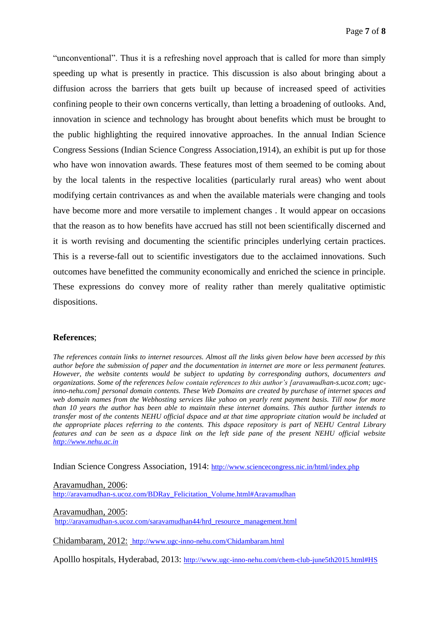"unconventional". Thus it is a refreshing novel approach that is called for more than simply speeding up what is presently in practice. This discussion is also about bringing about a diffusion across the barriers that gets built up because of increased speed of activities confining people to their own concerns vertically, than letting a broadening of outlooks. And, innovation in science and technology has brought about benefits which must be brought to the public highlighting the required innovative approaches. In the annual Indian Science Congress Sessions (Indian Science Congress Association,1914), an exhibit is put up for those who have won innovation awards. These features most of them seemed to be coming about by the local talents in the respective localities (particularly rural areas) who went about modifying certain contrivances as and when the available materials were changing and tools have become more and more versatile to implement changes . It would appear on occasions that the reason as to how benefits have accrued has still not been scientifically discerned and it is worth revising and documenting the scientific principles underlying certain practices. This is a reverse-fall out to scientific investigators due to the acclaimed innovations. Such outcomes have benefitted the community economically and enriched the science in principle. These expressions do convey more of reality rather than merely qualitative optimistic dispositions.

## **References**;

*The references contain links to internet resources. Almost all the links given below have been accessed by this author before the submission of paper and the documentation in internet are more or less permanent features. However, the website contents would be subject to updating by corresponding authors, documenters and organizations. Some of the references below contain references to this author's [aravamudhan-s.ucoz.com; ugcinno-nehu.com] personal domain contents. These Web Domains are created by purchase of internet spaces and web domain names from the Webhosting services like yahoo on yearly rent payment basis. Till now for more than 10 years the author has been able to maintain these internet domains. This author further intends to transfer most of the contents NEHU official dspace and at that time appropriate citation would be included at the appropriate places referring to the contents. This dspace repository is part of NEHU Central Library features and can be seen as a dspace link on the left side pane of the present NEHU official website [http://www.nehu.ac.in](http://www.nehu.ac.in/)*

Indian Science Congress Association, 1914: <http://www.sciencecongress.nic.in/html/index.php>

Aravamudhan, 2006:

[http://aravamudhan-s.ucoz.com/BDRay\\_Felicitation\\_Volume.html#Aravamudhan](http://aravamudhan-s.ucoz.com/BDRay_Felicitation_Volume.html#Aravamudhan)

Aravamudhan, 2005:

[http://aravamudhan-s.ucoz.com/saravamudhan44/hrd\\_resource\\_management.html](http://aravamudhan-s.ucoz.com/saravamudhan44/hrd_resource_management.html)

Chidambaram, 2012: <http://www.ugc-inno-nehu.com/Chidambaram.html>

Apolllo hospitals, Hyderabad, 2013: <http://www.ugc-inno-nehu.com/chem-club-june5th2015.html#HS>